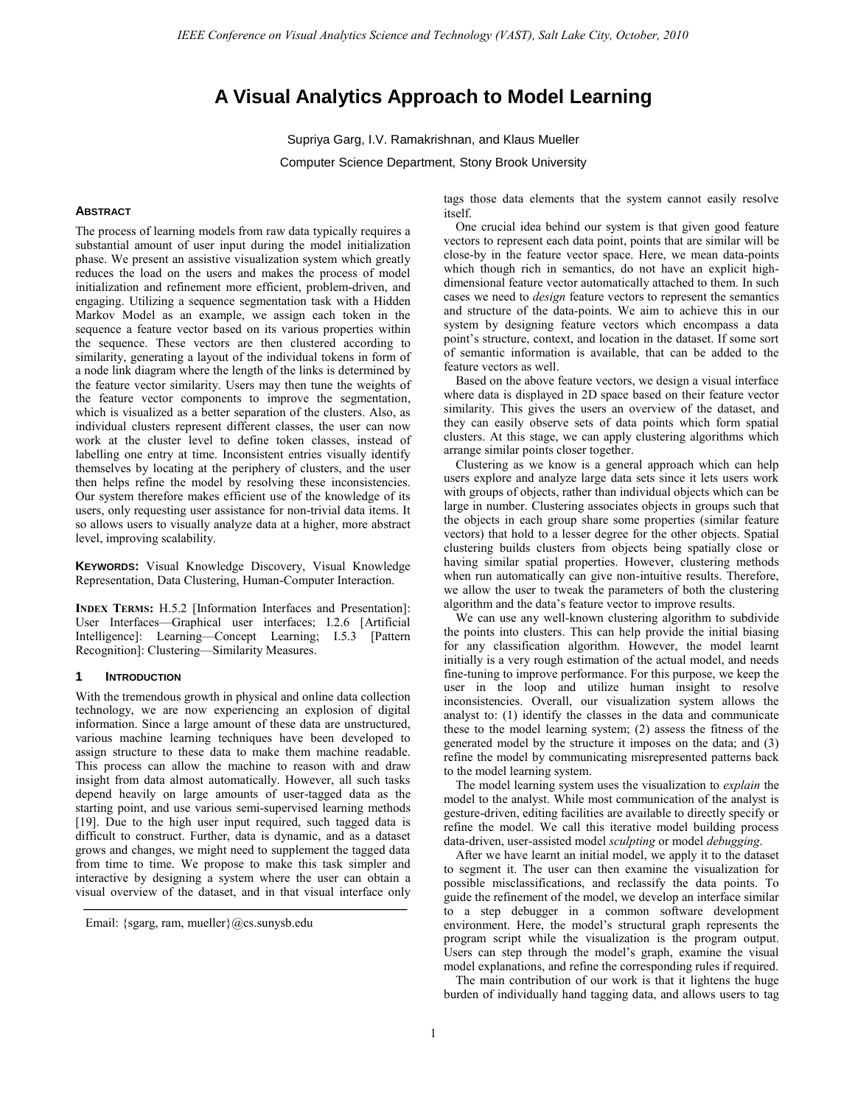# **A Visual Analytics Approach to Model Learning**

Supriya Garg, I.V. Ramakrishnan, and Klaus Mueller Computer Science Department, Stony Brook University

#### **ABSTRACT**

The process of learning models from raw data typically requires a substantial amount of user input during the model initialization phase. We present an assistive visualization system which greatly reduces the load on the users and makes the process of model initialization and refinement more efficient, problem-driven, and engaging. Utilizing a sequence segmentation task with a Hidden Markov Model as an example, we assign each token in the sequence a feature vector based on its various properties within the sequence. These vectors are then clustered according to similarity, generating a layout of the individual tokens in form of a node link diagram where the length of the links is determined by the feature vector similarity. Users may then tune the weights of the feature vector components to improve the segmentation, which is visualized as a better separation of the clusters. Also, as individual clusters represent different classes, the user can now work at the cluster level to define token classes, instead of labelling one entry at time. Inconsistent entries visually identify themselves by locating at the periphery of clusters, and the user then helps refine the model by resolving these inconsistencies. Our system therefore makes efficient use of the knowledge of its users, only requesting user assistance for non-trivial data items. It so allows users to visually analyze data at a higher, more abstract level, improving scalability.

**KEYWORDS:** Visual Knowledge Discovery, Visual Knowledge Representation, Data Clustering, Human-Computer Interaction.

**INDEX TERMS:** H.5.2 [Information Interfaces and Presentation]: User Interfaces—Graphical user interfaces; I.2.6 [Artificial Intelligence]: Learning—Concept Learning; I.5.3 [Pattern Recognition]: Clustering—Similarity Measures.

#### **1 INTRODUCTION**

With the tremendous growth in physical and online data collection technology, we are now experiencing an explosion of digital information. Since a large amount of these data are unstructured, various machine learning techniques have been developed to assign structure to these data to make them machine readable. This process can allow the machine to reason with and draw insight from data almost automatically. However, all such tasks depend heavily on large amounts of user-tagged data as the starting point, and use various semi-supervised learning methods [19]. Due to the high user input required, such tagged data is difficult to construct. Further, data is dynamic, and as a dataset grows and changes, we might need to supplement the tagged data from time to time. We propose to make this task simpler and interactive by designing a system where the user can obtain a visual overview of the dataset, and in that visual interface only

Email: {sgarg, ram, mueller}@cs.sunysb.edu

tags those data elements that the system cannot easily resolve itself.

One crucial idea behind our system is that given good feature vectors to represent each data point, points that are similar will be close-by in the feature vector space. Here, we mean data-points which though rich in semantics, do not have an explicit highdimensional feature vector automatically attached to them. In such cases we need to *design* feature vectors to represent the semantics and structure of the data-points. We aim to achieve this in our system by designing feature vectors which encompass a data point's structure, context, and location in the dataset. If some sort of semantic information is available, that can be added to the feature vectors as well.

Based on the above feature vectors, we design a visual interface where data is displayed in 2D space based on their feature vector similarity. This gives the users an overview of the dataset, and they can easily observe sets of data points which form spatial clusters. At this stage, we can apply clustering algorithms which arrange similar points closer together.

Clustering as we know is a general approach which can help users explore and analyze large data sets since it lets users work with groups of objects, rather than individual objects which can be large in number. Clustering associates objects in groups such that the objects in each group share some properties (similar feature vectors) that hold to a lesser degree for the other objects. Spatial clustering builds clusters from objects being spatially close or having similar spatial properties. However, clustering methods when run automatically can give non-intuitive results. Therefore, we allow the user to tweak the parameters of both the clustering algorithm and the data's feature vector to improve results.

We can use any well-known clustering algorithm to subdivide the points into clusters. This can help provide the initial biasing for any classification algorithm. However, the model learnt initially is a very rough estimation of the actual model, and needs fine-tuning to improve performance. For this purpose, we keep the user in the loop and utilize human insight to resolve inconsistencies. Overall, our visualization system allows the analyst to: (1) identify the classes in the data and communicate these to the model learning system; (2) assess the fitness of the generated model by the structure it imposes on the data; and (3) refine the model by communicating misrepresented patterns back to the model learning system.

The model learning system uses the visualization to *explain* the model to the analyst. While most communication of the analyst is gesture-driven, editing facilities are available to directly specify or refine the model. We call this iterative model building process data-driven, user-assisted model *sculpting* or model *debugging*.

After we have learnt an initial model, we apply it to the dataset to segment it. The user can then examine the visualization for possible misclassifications, and reclassify the data points. To guide the refinement of the model, we develop an interface similar to a step debugger in a common software development environment. Here, the model's structural graph represents the program script while the visualization is the program output. Users can step through the model's graph, examine the visual model explanations, and refine the corresponding rules if required.

The main contribution of our work is that it lightens the huge burden of individually hand tagging data, and allows users to tag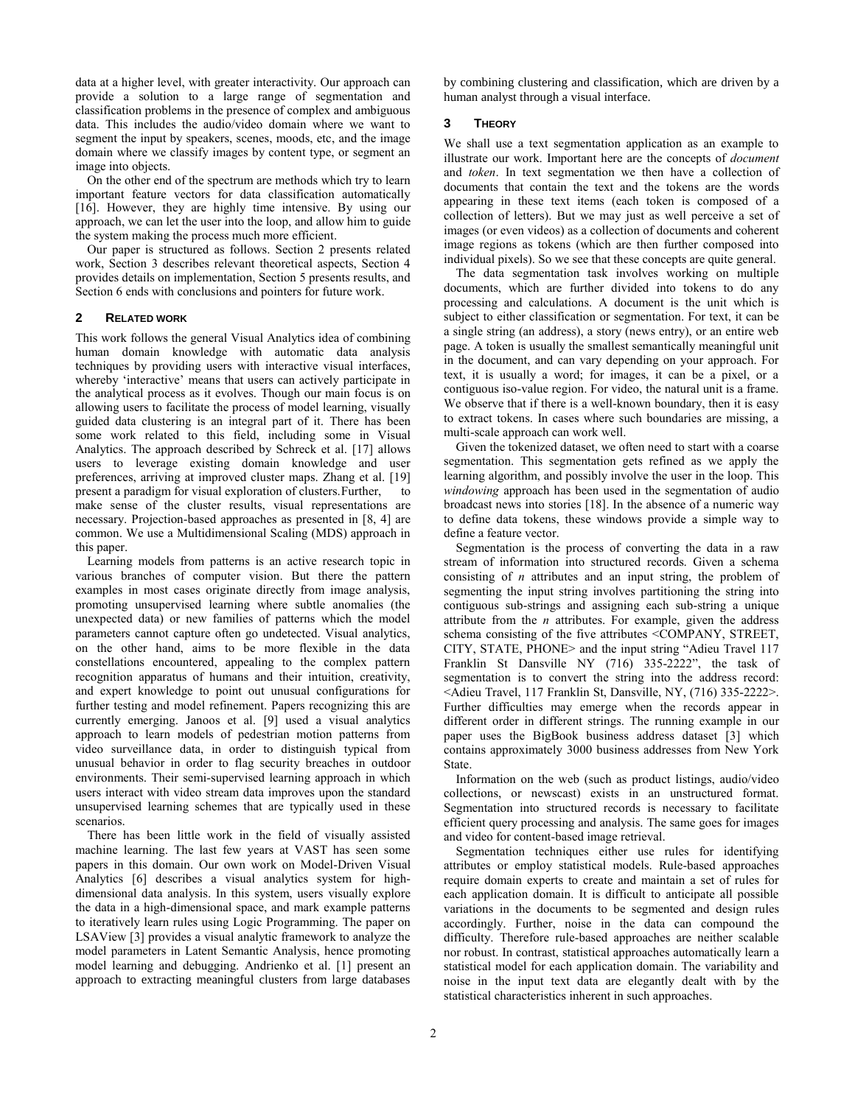data at a higher level, with greater interactivity. Our approach can provide a solution to a large range of segmentation and classification problems in the presence of complex and ambiguous data. This includes the audio/video domain where we want to segment the input by speakers, scenes, moods, etc, and the image domain where we classify images by content type, or segment an image into objects.

On the other end of the spectrum are methods which try to learn important feature vectors for data classification automatically [16]. However, they are highly time intensive. By using our approach, we can let the user into the loop, and allow him to guide the system making the process much more efficient.

Our paper is structured as follows. Section 2 presents related work, Section 3 describes relevant theoretical aspects, Section 4 provides details on implementation, Section 5 presents results, and Section 6 ends with conclusions and pointers for future work.

#### **2 RELATED WORK**

This work follows the general Visual Analytics idea of combining human domain knowledge with automatic data analysis techniques by providing users with interactive visual interfaces, whereby 'interactive' means that users can actively participate in the analytical process as it evolves. Though our main focus is on allowing users to facilitate the process of model learning, visually guided data clustering is an integral part of it. There has been some work related to this field, including some in Visual Analytics. The approach described by Schreck et al. [17] allows users to leverage existing domain knowledge and user preferences, arriving at improved cluster maps. Zhang et al. [19] present a paradigm for visual exploration of clusters.Further, to make sense of the cluster results, visual representations are necessary. Projection-based approaches as presented in [8, 4] are common. We use a Multidimensional Scaling (MDS) approach in this paper.

Learning models from patterns is an active research topic in various branches of computer vision. But there the pattern examples in most cases originate directly from image analysis, promoting unsupervised learning where subtle anomalies (the unexpected data) or new families of patterns which the model parameters cannot capture often go undetected. Visual analytics, on the other hand, aims to be more flexible in the data constellations encountered, appealing to the complex pattern recognition apparatus of humans and their intuition, creativity, and expert knowledge to point out unusual configurations for further testing and model refinement. Papers recognizing this are currently emerging. Janoos et al. [9] used a visual analytics approach to learn models of pedestrian motion patterns from video surveillance data, in order to distinguish typical from unusual behavior in order to flag security breaches in outdoor environments. Their semi-supervised learning approach in which users interact with video stream data improves upon the standard unsupervised learning schemes that are typically used in these scenarios.

There has been little work in the field of visually assisted machine learning. The last few years at VAST has seen some papers in this domain. Our own work on Model-Driven Visual Analytics [6] describes a visual analytics system for highdimensional data analysis. In this system, users visually explore the data in a high-dimensional space, and mark example patterns to iteratively learn rules using Logic Programming. The paper on LSAView [3] provides a visual analytic framework to analyze the model parameters in Latent Semantic Analysis, hence promoting model learning and debugging. Andrienko et al. [1] present an approach to extracting meaningful clusters from large databases

by combining clustering and classification, which are driven by a human analyst through a visual interface.

# **3 THEORY**

We shall use a text segmentation application as an example to illustrate our work. Important here are the concepts of *document* and *token*. In text segmentation we then have a collection of documents that contain the text and the tokens are the words appearing in these text items (each token is composed of a collection of letters). But we may just as well perceive a set of images (or even videos) as a collection of documents and coherent image regions as tokens (which are then further composed into individual pixels). So we see that these concepts are quite general.

The data segmentation task involves working on multiple documents, which are further divided into tokens to do any processing and calculations. A document is the unit which is subject to either classification or segmentation. For text, it can be a single string (an address), a story (news entry), or an entire web page. A token is usually the smallest semantically meaningful unit in the document, and can vary depending on your approach. For text, it is usually a word; for images, it can be a pixel, or a contiguous iso-value region. For video, the natural unit is a frame. We observe that if there is a well-known boundary, then it is easy to extract tokens. In cases where such boundaries are missing, a multi-scale approach can work well.

Given the tokenized dataset, we often need to start with a coarse segmentation. This segmentation gets refined as we apply the learning algorithm, and possibly involve the user in the loop. This *windowing* approach has been used in the segmentation of audio broadcast news into stories [18]. In the absence of a numeric way to define data tokens, these windows provide a simple way to define a feature vector.

Segmentation is the process of converting the data in a raw stream of information into structured records. Given a schema consisting of *n* attributes and an input string, the problem of segmenting the input string involves partitioning the string into contiguous sub-strings and assigning each sub-string a unique attribute from the *n* attributes. For example, given the address schema consisting of the five attributes <COMPANY, STREET, CITY, STATE, PHONE> and the input string "Adieu Travel 117 Franklin St Dansville NY (716) 335-2222", the task of segmentation is to convert the string into the address record: <Adieu Travel, 117 Franklin St, Dansville, NY, (716) 335-2222>. Further difficulties may emerge when the records appear in different order in different strings. The running example in our paper uses the BigBook business address dataset [3] which contains approximately 3000 business addresses from New York State.

Information on the web (such as product listings, audio/video collections, or newscast) exists in an unstructured format. Segmentation into structured records is necessary to facilitate efficient query processing and analysis. The same goes for images and video for content-based image retrieval.

Segmentation techniques either use rules for identifying attributes or employ statistical models. Rule-based approaches require domain experts to create and maintain a set of rules for each application domain. It is difficult to anticipate all possible variations in the documents to be segmented and design rules accordingly. Further, noise in the data can compound the difficulty. Therefore rule-based approaches are neither scalable nor robust. In contrast, statistical approaches automatically learn a statistical model for each application domain. The variability and noise in the input text data are elegantly dealt with by the statistical characteristics inherent in such approaches.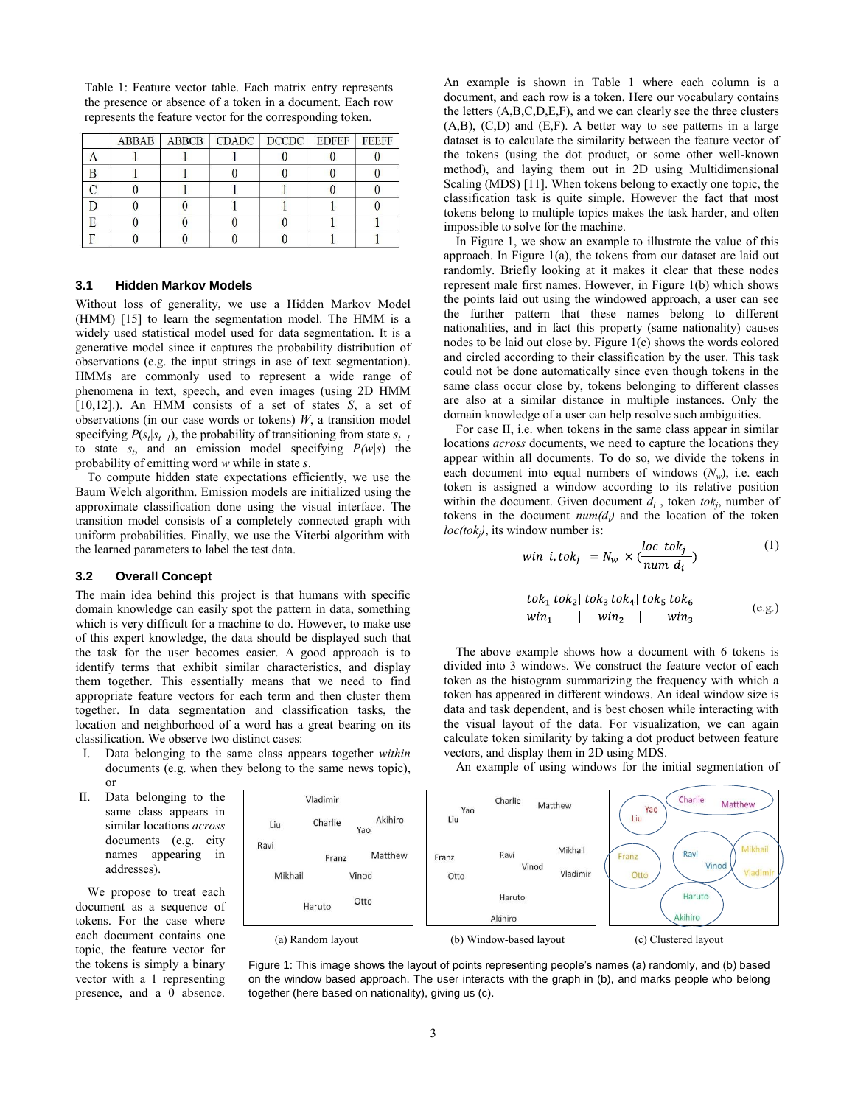Table 1: Feature vector table. Each matrix entry represents the presence or absence of a token in a document. Each row represents the feature vector for the corresponding token.

|  | ABBAB   ABBCB   CDADC   DCCDC   EDFEF |  | FEEFF |
|--|---------------------------------------|--|-------|
|  |                                       |  |       |
|  |                                       |  |       |
|  |                                       |  |       |
|  |                                       |  |       |
|  |                                       |  |       |
|  |                                       |  |       |

### **3.1 Hidden Markov Models**

Without loss of generality, we use a Hidden Markov Model (HMM) [15] to learn the segmentation model. The HMM is a widely used statistical model used for data segmentation. It is a generative model since it captures the probability distribution of observations (e.g. the input strings in ase of text segmentation). HMMs are commonly used to represent a wide range of phenomena in text, speech, and even images (using 2D HMM [10,12].). An HMM consists of a set of states *S*, a set of observations (in our case words or tokens) *W*, a transition model specifying  $P(s_t|s_{t-1})$ , the probability of transitioning from state  $s_{t-1}$ to state  $s_t$ , and an emission model specifying  $P(w|s)$  the probability of emitting word *w* while in state *s*.

To compute hidden state expectations efficiently, we use the Baum Welch algorithm. Emission models are initialized using the approximate classification done using the visual interface. The transition model consists of a completely connected graph with uniform probabilities. Finally, we use the Viterbi algorithm with the learned parameters to label the test data.

# **3.2 Overall Concept**

The main idea behind this project is that humans with specific domain knowledge can easily spot the pattern in data, something which is very difficult for a machine to do. However, to make use of this expert knowledge, the data should be displayed such that the task for the user becomes easier. A good approach is to identify terms that exhibit similar characteristics, and display them together. This essentially means that we need to find appropriate feature vectors for each term and then cluster them together. In data segmentation and classification tasks, the location and neighborhood of a word has a great bearing on its classification. We observe two distinct cases:

- I. Data belonging to the same class appears together *within* documents (e.g. when they belong to the same news topic), or
- II. Data belonging to the same class appears in similar locations *across*  documents (e.g. city names appearing in addresses).

We propose to treat each document as a sequence of tokens. For the case where each document contains one topic, the feature vector for the tokens is simply a binary vector with a 1 representing presence, and a 0 absence. An example is shown in Table 1 where each column is a document, and each row is a token. Here our vocabulary contains the letters (A,B,C,D,E,F), and we can clearly see the three clusters  $(A,B)$ ,  $(C,D)$  and  $(E,F)$ . A better way to see patterns in a large dataset is to calculate the similarity between the feature vector of the tokens (using the dot product, or some other well-known method), and laying them out in 2D using Multidimensional Scaling (MDS) [11]. When tokens belong to exactly one topic, the classification task is quite simple. However the fact that most tokens belong to multiple topics makes the task harder, and often impossible to solve for the machine.

In Figure 1, we show an example to illustrate the value of this approach. In Figure 1(a), the tokens from our dataset are laid out randomly. Briefly looking at it makes it clear that these nodes represent male first names. However, in Figure 1(b) which shows the points laid out using the windowed approach, a user can see the further pattern that these names belong to different nationalities, and in fact this property (same nationality) causes nodes to be laid out close by. Figure 1(c) shows the words colored and circled according to their classification by the user. This task could not be done automatically since even though tokens in the same class occur close by, tokens belonging to different classes are also at a similar distance in multiple instances. Only the domain knowledge of a user can help resolve such ambiguities.

For case II, i.e. when tokens in the same class appear in similar locations *across* documents, we need to capture the locations they appear within all documents. To do so, we divide the tokens in each document into equal numbers of windows  $(N_w)$ , i.e. each token is assigned a window according to its relative position within the document. Given document  $d_i$ , token  $tok_j$ , number of tokens in the document  $num(d_i)$  and the location of the token  $loc(tok<sub>i</sub>)$ , its window number is:

$$
win \ i, tok_j = N_w \times (\frac{loc \ tok_j}{num \ d_i}) \tag{1}
$$

$$
\frac{tok_1 tok_2 | tok_3 tok_4 | tok_5 tok_6}{win_1 | win_2 | win_3}
$$
 (e.g.)

The above example shows how a document with 6 tokens is divided into 3 windows. We construct the feature vector of each token as the histogram summarizing the frequency with which a token has appeared in different windows. An ideal window size is data and task dependent, and is best chosen while interacting with the visual layout of the data. For visualization, we can again calculate token similarity by taking a dot product between feature vectors, and display them in 2D using MDS.

An example of using windows for the initial segmentation of



(a) Random layout (b) Window based layout (c) Clustered Layout (a) Random layout (b) Window-based layout (c) Clustered layout

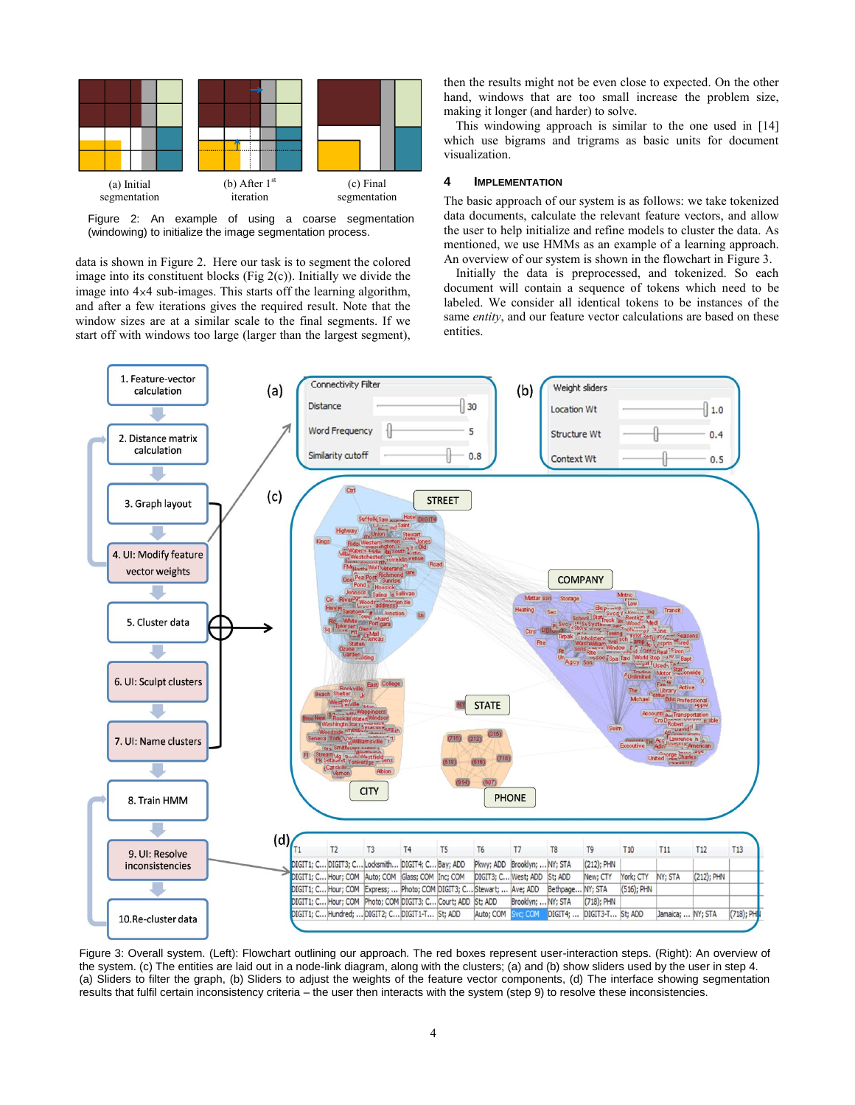

Figure 2: An example of using a coarse segmentation (windowing) to initialize the image segmentation process.

data is shown in Figure 2. Here our task is to segment the colored image into its constituent blocks (Fig  $2(c)$ ). Initially we divide the image into  $4 \times 4$  sub-images. This starts off the learning algorithm, and after a few iterations gives the required result. Note that the window sizes are at a similar scale to the final segments. If we start off with windows too large (larger than the largest segment),

then the results might not be even close to expected. On the other hand, windows that are too small increase the problem size, making it longer (and harder) to solve.

This windowing approach is similar to the one used in [14] which use bigrams and trigrams as basic units for document visualization.

## **4 IMPLEMENTATION**

The basic approach of our system is as follows: we take tokenized data documents, calculate the relevant feature vectors, and allow the user to help initialize and refine models to cluster the data. As mentioned, we use HMMs as an example of a learning approach. An overview of our system is shown in the flowchart in Figure 3.

Initially the data is preprocessed, and tokenized. So each document will contain a sequence of tokens which need to be labeled. We consider all identical tokens to be instances of the same *entity*, and our feature vector calculations are based on these entities.



Figure 3: Overall system. (Left): Flowchart outlining our approach. The red boxes represent user-interaction steps. (Right): An overview of the system. (c) The entities are laid out in a node-link diagram, along with the clusters; (a) and (b) show sliders used by the user in step 4. (a) Sliders to filter the graph, (b) Sliders to adjust the weights of the feature vector components, (d) The interface showing segmentation results that fulfil certain inconsistency criteria – the user then interacts with the system (step 9) to resolve these inconsistencies.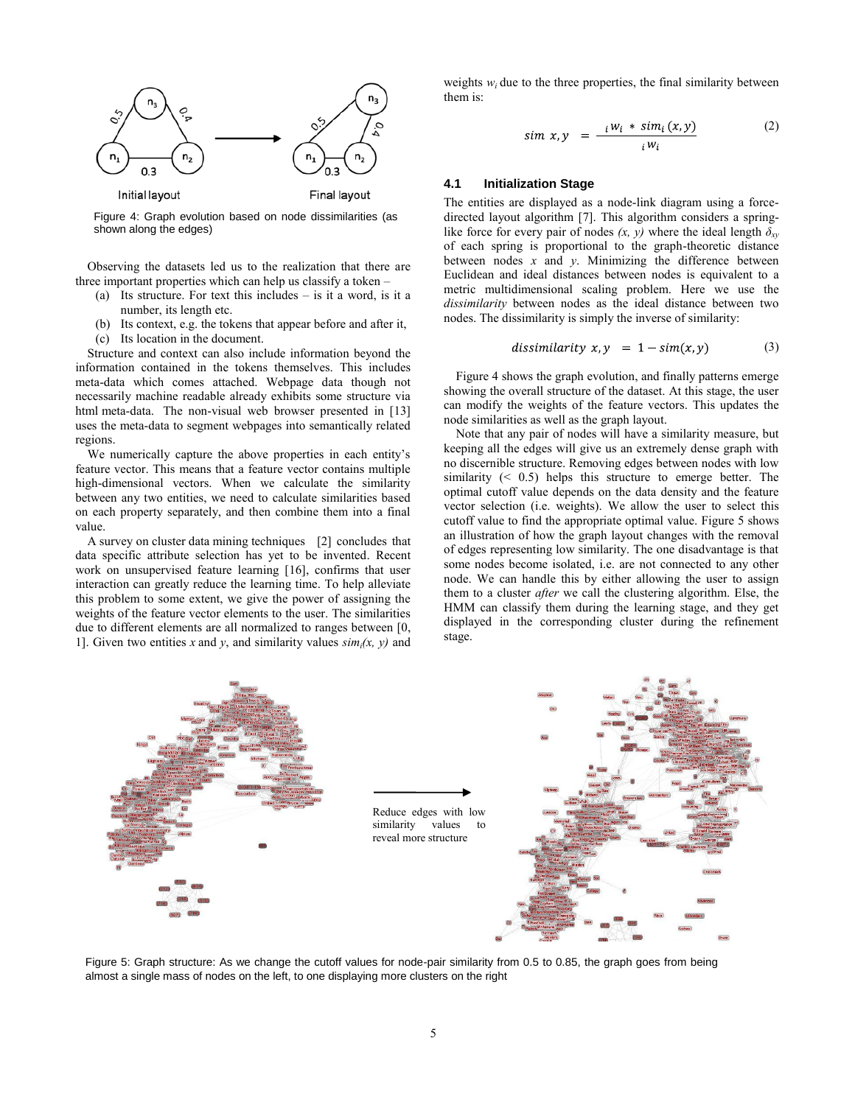

Figure 4: Graph evolution based on node dissimilarities (as shown along the edges)

Observing the datasets led us to the realization that there are three important properties which can help us classify a token –

- (a) Its structure. For text this includes is it a word, is it a number, its length etc.
- (b) Its context, e.g. the tokens that appear before and after it,
- (c) Its location in the document.

Structure and context can also include information beyond the information contained in the tokens themselves. This includes meta-data which comes attached. Webpage data though not necessarily machine readable already exhibits some structure via html meta-data. The non-visual web browser presented in [13] uses the meta-data to segment webpages into semantically related regions.

We numerically capture the above properties in each entity's feature vector. This means that a feature vector contains multiple high-dimensional vectors. When we calculate the similarity between any two entities, we need to calculate similarities based on each property separately, and then combine them into a final value.

A survey on cluster data mining techniques [2] concludes that data specific attribute selection has yet to be invented. Recent work on unsupervised feature learning [16], confirms that user interaction can greatly reduce the learning time. To help alleviate this problem to some extent, we give the power of assigning the weights of the feature vector elements to the user. The similarities due to different elements are all normalized to ranges between [0, 1]. Given two entities *x* and *y*, and similarity values  $\sinh(x, y)$  and weights  $w_i$  due to the three properties, the final similarity between them is:

$$
sim x, y = \frac{i w_i * sim_i(x, y)}{i w_i}
$$
 (2)

#### **4.1 Initialization Stage**

The entities are displayed as a node-link diagram using a forcedirected layout algorithm [7]. This algorithm considers a springlike force for every pair of nodes  $(x, y)$  where the ideal length  $\delta_{xy}$ of each spring is proportional to the graph-theoretic distance between nodes *x* and *y*. Minimizing the difference between Euclidean and ideal distances between nodes is equivalent to a metric multidimensional scaling problem. Here we use the *dissimilarity* between nodes as the ideal distance between two nodes. The dissimilarity is simply the inverse of similarity:

$$
dissimilarity x, y = 1 - sim(x, y) \tag{3}
$$

Figure 4 shows the graph evolution, and finally patterns emerge showing the overall structure of the dataset. At this stage, the user can modify the weights of the feature vectors. This updates the node similarities as well as the graph layout.

Note that any pair of nodes will have a similarity measure, but keeping all the edges will give us an extremely dense graph with no discernible structure. Removing edges between nodes with low similarity  $(0.5)$  helps this structure to emerge better. The optimal cutoff value depends on the data density and the feature vector selection (i.e. weights). We allow the user to select this cutoff value to find the appropriate optimal value. Figure 5 shows an illustration of how the graph layout changes with the removal of edges representing low similarity. The one disadvantage is that some nodes become isolated, i.e. are not connected to any other node. We can handle this by either allowing the user to assign them to a cluster *after* we call the clustering algorithm. Else, the HMM can classify them during the learning stage, and they get displayed in the corresponding cluster during the refinement stage.



Figure 5: Graph structure: As we change the cutoff values for node-pair similarity from 0.5 to 0.85, the graph goes from being almost a single mass of nodes on the left, to one displaying more clusters on the right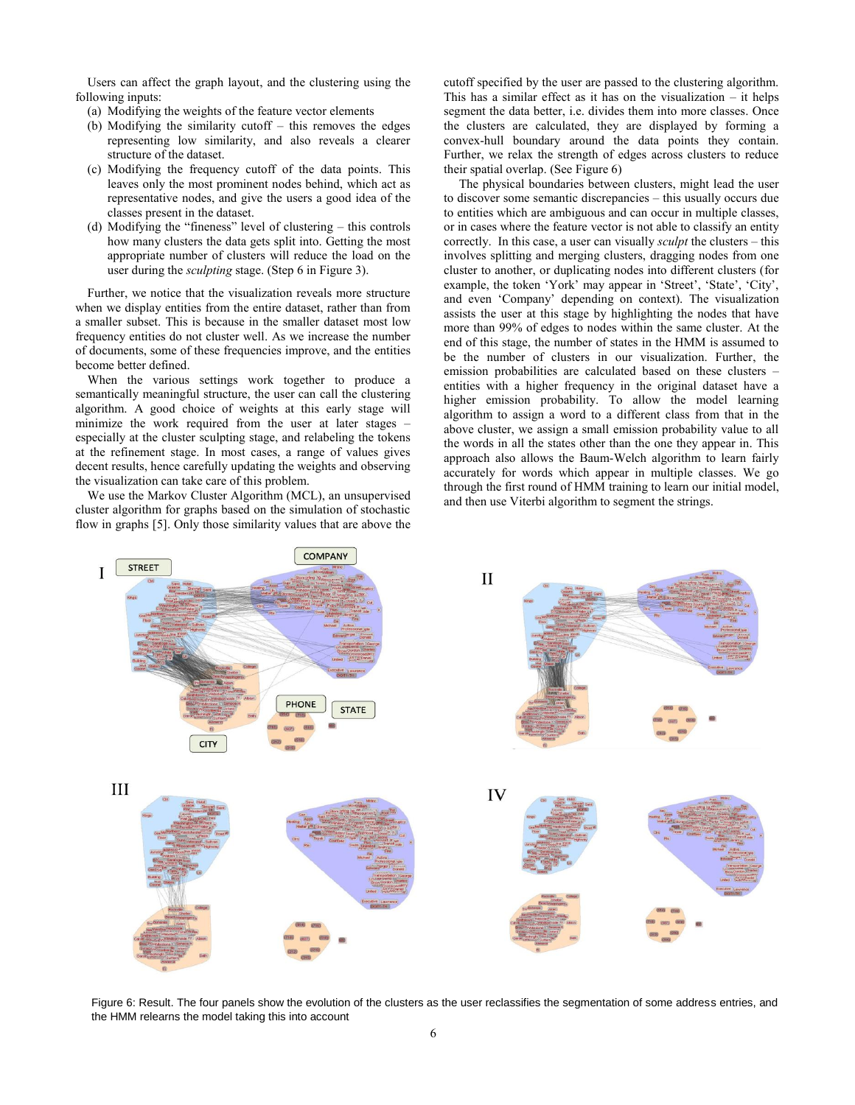Users can affect the graph layout, and the clustering using the following inputs:

- (a) Modifying the weights of the feature vector elements
- (b) Modifying the similarity cutoff this removes the edges representing low similarity, and also reveals a clearer structure of the dataset.
- (c) Modifying the frequency cutoff of the data points. This leaves only the most prominent nodes behind, which act as representative nodes, and give the users a good idea of the classes present in the dataset.
- (d) Modifying the "fineness" level of clustering this controls how many clusters the data gets split into. Getting the most appropriate number of clusters will reduce the load on the user during the *sculpting* stage. (Step 6 in Figure 3).

Further, we notice that the visualization reveals more structure when we display entities from the entire dataset, rather than from a smaller subset. This is because in the smaller dataset most low frequency entities do not cluster well. As we increase the number of documents, some of these frequencies improve, and the entities become better defined.

When the various settings work together to produce a semantically meaningful structure, the user can call the clustering algorithm. A good choice of weights at this early stage will minimize the work required from the user at later stages – especially at the cluster sculpting stage, and relabeling the tokens at the refinement stage. In most cases, a range of values gives decent results, hence carefully updating the weights and observing the visualization can take care of this problem.

We use the Markov Cluster Algorithm (MCL), an unsupervised cluster algorithm for graphs based on the simulation of stochastic flow in graphs [5]. Only those similarity values that are above the cutoff specified by the user are passed to the clustering algorithm. This has a similar effect as it has on the visualization  $-$  it helps segment the data better, i.e. divides them into more classes. Once the clusters are calculated, they are displayed by forming a convex-hull boundary around the data points they contain. Further, we relax the strength of edges across clusters to reduce their spatial overlap. (See Figure 6)

The physical boundaries between clusters, might lead the user to discover some semantic discrepancies – this usually occurs due to entities which are ambiguous and can occur in multiple classes, or in cases where the feature vector is not able to classify an entity correctly. In this case, a user can visually *sculpt* the clusters – this involves splitting and merging clusters, dragging nodes from one cluster to another, or duplicating nodes into different clusters (for example, the token 'York' may appear in 'Street', 'State', 'City', and even 'Company' depending on context). The visualization assists the user at this stage by highlighting the nodes that have more than 99% of edges to nodes within the same cluster. At the end of this stage, the number of states in the HMM is assumed to be the number of clusters in our visualization. Further, the emission probabilities are calculated based on these clusters – entities with a higher frequency in the original dataset have a higher emission probability. To allow the model learning algorithm to assign a word to a different class from that in the above cluster, we assign a small emission probability value to all the words in all the states other than the one they appear in. This approach also allows the Baum-Welch algorithm to learn fairly accurately for words which appear in multiple classes. We go through the first round of HMM training to learn our initial model, and then use Viterbi algorithm to segment the strings.



Figure 6: Result. The four panels show the evolution of the clusters as the user reclassifies the segmentation of some address entries, and the HMM relearns the model taking this into account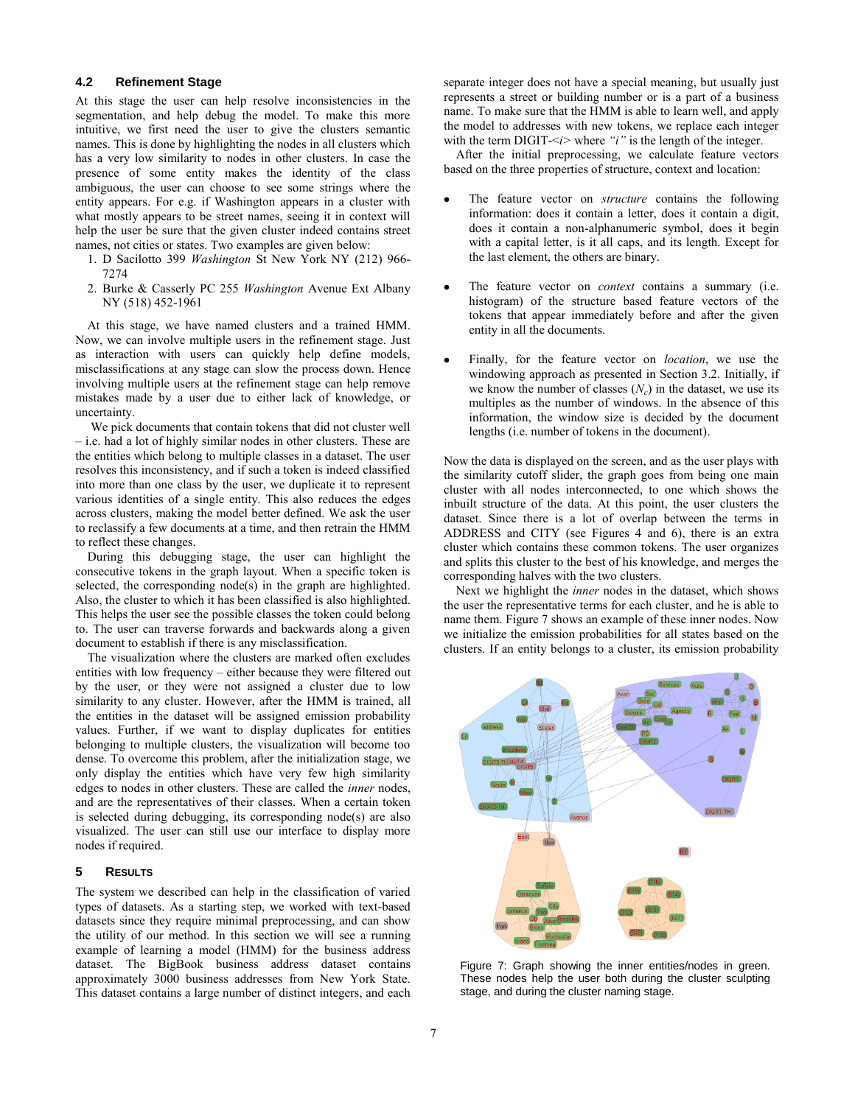## **4.2 Refinement Stage**

At this stage the user can help resolve inconsistencies in the segmentation, and help debug the model. To make this more intuitive, we first need the user to give the clusters semantic names. This is done by highlighting the nodes in all clusters which has a very low similarity to nodes in other clusters. In case the presence of some entity makes the identity of the class ambiguous, the user can choose to see some strings where the entity appears. For e.g. if Washington appears in a cluster with what mostly appears to be street names, seeing it in context will help the user be sure that the given cluster indeed contains street names, not cities or states. Two examples are given below:

- 1. D Sacilotto 399 *Washington* St New York NY (212) 966- 7274
- 2. Burke & Casserly PC 255 *Washington* Avenue Ext Albany NY (518) 452-1961

At this stage, we have named clusters and a trained HMM. Now, we can involve multiple users in the refinement stage. Just as interaction with users can quickly help define models, misclassifications at any stage can slow the process down. Hence involving multiple users at the refinement stage can help remove mistakes made by a user due to either lack of knowledge, or uncertainty.

We pick documents that contain tokens that did not cluster well – i.e. had a lot of highly similar nodes in other clusters. These are the entities which belong to multiple classes in a dataset. The user resolves this inconsistency, and if such a token is indeed classified into more than one class by the user, we duplicate it to represent various identities of a single entity. This also reduces the edges across clusters, making the model better defined. We ask the user to reclassify a few documents at a time, and then retrain the HMM to reflect these changes.

During this debugging stage, the user can highlight the consecutive tokens in the graph layout. When a specific token is selected, the corresponding node(s) in the graph are highlighted. Also, the cluster to which it has been classified is also highlighted. This helps the user see the possible classes the token could belong to. The user can traverse forwards and backwards along a given document to establish if there is any misclassification.

The visualization where the clusters are marked often excludes entities with low frequency – either because they were filtered out by the user, or they were not assigned a cluster due to low similarity to any cluster. However, after the HMM is trained, all the entities in the dataset will be assigned emission probability values. Further, if we want to display duplicates for entities belonging to multiple clusters, the visualization will become too dense. To overcome this problem, after the initialization stage, we only display the entities which have very few high similarity edges to nodes in other clusters. These are called the *inner* nodes, and are the representatives of their classes. When a certain token is selected during debugging, its corresponding node(s) are also visualized. The user can still use our interface to display more nodes if required.

# **5 RESULTS**

The system we described can help in the classification of varied types of datasets. As a starting step, we worked with text-based datasets since they require minimal preprocessing, and can show the utility of our method. In this section we will see a running example of learning a model (HMM) for the business address dataset. The BigBook business address dataset contains approximately 3000 business addresses from New York State. This dataset contains a large number of distinct integers, and each

separate integer does not have a special meaning, but usually just represents a street or building number or is a part of a business name. To make sure that the HMM is able to learn well, and apply the model to addresses with new tokens, we replace each integer with the term DIGIT- $\langle i \rangle$  where *"i"* is the length of the integer.

After the initial preprocessing, we calculate feature vectors based on the three properties of structure, context and location:

- The feature vector on *structure* contains the following information: does it contain a letter, does it contain a digit, does it contain a non-alphanumeric symbol, does it begin with a capital letter, is it all caps, and its length. Except for the last element, the others are binary.
- The feature vector on *context* contains a summary (i.e. histogram) of the structure based feature vectors of the tokens that appear immediately before and after the given entity in all the documents.
- Finally, for the feature vector on *location*, we use the windowing approach as presented in Section 3.2. Initially, if we know the number of classes  $(N_c)$  in the dataset, we use its multiples as the number of windows. In the absence of this information, the window size is decided by the document lengths (i.e. number of tokens in the document).

Now the data is displayed on the screen, and as the user plays with the similarity cutoff slider, the graph goes from being one main cluster with all nodes interconnected, to one which shows the inbuilt structure of the data. At this point, the user clusters the dataset. Since there is a lot of overlap between the terms in ADDRESS and CITY (see Figures 4 and 6), there is an extra cluster which contains these common tokens. The user organizes and splits this cluster to the best of his knowledge, and merges the corresponding halves with the two clusters.

Next we highlight the *inner* nodes in the dataset, which shows the user the representative terms for each cluster, and he is able to name them. Figure 7 shows an example of these inner nodes. Now we initialize the emission probabilities for all states based on the clusters. If an entity belongs to a cluster, its emission probability



Figure 7: Graph showing the inner entities/nodes in green. These nodes help the user both during the cluster sculpting stage, and during the cluster naming stage.